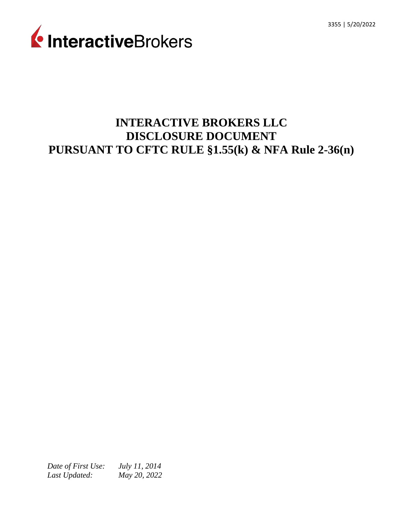

# **INTERACTIVE BROKERS LLC DISCLOSURE DOCUMENT PURSUANT TO CFTC RULE §1.55(k) & NFA Rule 2-36(n)**

*Date of First Use: Last Updated: July 11, 2014 May 20, 2022*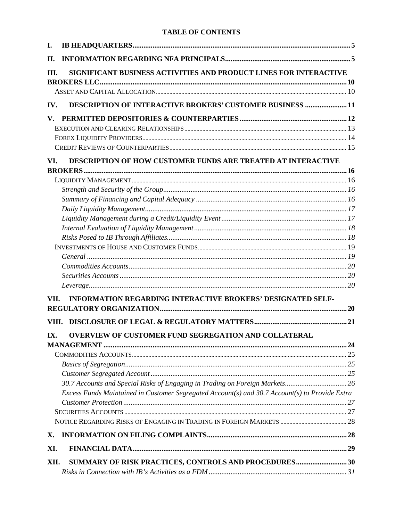## **TABLE OF CONTENTS**

| I.                     |                                                                                                |  |
|------------------------|------------------------------------------------------------------------------------------------|--|
| II.                    |                                                                                                |  |
| Ш.                     | SIGNIFICANT BUSINESS ACTIVITIES AND PRODUCT LINES FOR INTERACTIVE                              |  |
|                        |                                                                                                |  |
| IV.                    | DESCRIPTION OF INTERACTIVE BROKERS' CUSTOMER BUSINESS 11                                       |  |
| $\mathbf{V}_{\bullet}$ |                                                                                                |  |
|                        |                                                                                                |  |
|                        |                                                                                                |  |
|                        |                                                                                                |  |
| VI.                    | <b>DESCRIPTION OF HOW CUSTOMER FUNDS ARE TREATED AT INTERACTIVE</b>                            |  |
|                        |                                                                                                |  |
|                        |                                                                                                |  |
|                        |                                                                                                |  |
|                        |                                                                                                |  |
|                        |                                                                                                |  |
|                        |                                                                                                |  |
|                        |                                                                                                |  |
|                        |                                                                                                |  |
|                        |                                                                                                |  |
|                        |                                                                                                |  |
|                        |                                                                                                |  |
|                        |                                                                                                |  |
|                        |                                                                                                |  |
| VII.                   | <b>INFORMATION REGARDING INTERACTIVE BROKERS' DESIGNATED SELF-</b>                             |  |
|                        |                                                                                                |  |
|                        | IX. OVERVIEW OF CUSTOMER FUND SEGREGATION AND COLLATERAL                                       |  |
|                        |                                                                                                |  |
|                        |                                                                                                |  |
|                        |                                                                                                |  |
|                        |                                                                                                |  |
|                        |                                                                                                |  |
|                        | Excess Funds Maintained in Customer Segregated Account(s) and 30.7 Account(s) to Provide Extra |  |
|                        |                                                                                                |  |
|                        |                                                                                                |  |
|                        |                                                                                                |  |
| X.                     |                                                                                                |  |
| XI.                    |                                                                                                |  |
| XII.                   | SUMMARY OF RISK PRACTICES, CONTROLS AND PROCEDURES30                                           |  |
|                        |                                                                                                |  |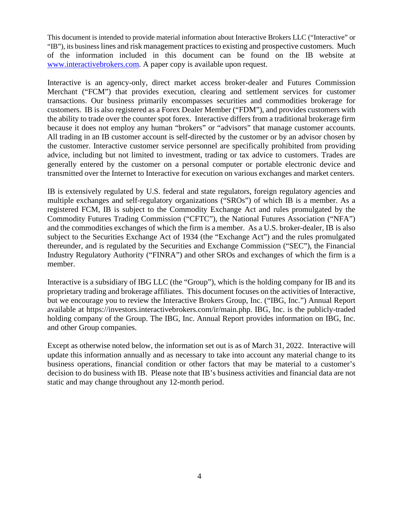This document is intended to provide material information about Interactive Brokers LLC ("Interactive" or "IB"), its business lines and risk management practicesto existing and prospective customers. Much of the information included in this document can be found on the IB website at [www.interactivebrokers.com.](http://#) A paper copy is available upon request.

Interactive is an agency-only, direct market access broker-dealer and Futures Commission Merchant ("FCM") that provides execution, clearing and settlement services for customer transactions. Our business primarily encompasses securities and commodities brokerage for customers. IB is also registered as a Forex Dealer Member ("FDM"), and provides customers with the ability to trade over the counter spot forex. Interactive differs from a traditional brokerage firm because it does not employ any human "brokers" or "advisors" that manage customer accounts. All trading in an IB customer account is self-directed by the customer or by an advisor chosen by the customer. Interactive customer service personnel are specifically prohibited from providing advice, including but not limited to investment, trading or tax advice to customers. Trades are generally entered by the customer on a personal computer or portable electronic device and transmitted over the Internet to Interactive for execution on various exchanges and market centers.

IB is extensively regulated by U.S. federal and state regulators, foreign regulatory agencies and multiple exchanges and self-regulatory organizations ("SROs") of which IB is a member. As a registered FCM, IB is subject to the Commodity Exchange Act and rules promulgated by the Commodity Futures Trading Commission ("CFTC"), the National Futures Association ("NFA") and the commodities exchanges of which the firm is a member. As a U.S. broker-dealer, IB is also subject to the Securities Exchange Act of 1934 (the "Exchange Act") and the rules promulgated thereunder, and is regulated by the Securities and Exchange Commission ("SEC"), the Financial Industry Regulatory Authority ("FINRA") and other SROs and exchanges of which the firm is a member.

Interactive is a subsidiary of IBG LLC (the "Group"), which is the holding company for IB and its proprietary trading and brokerage affiliates. This document focuses on the activities of Interactive, but we encourage you to review the Interactive Brokers Group, Inc. ("IBG, Inc.") Annual Report available at https://investors.interactivebrokers.com/ir/main.php. IBG, Inc. is the publicly-traded holding company of the Group. The IBG, Inc. Annual Report provides information on IBG, Inc. and other Group companies.

Except as otherwise noted below, the information set out is as of March 31, 2022. Interactive will update this information annually and as necessary to take into account any material change to its business operations, financial condition or other factors that may be material to a customer's decision to do business with IB. Please note that IB's business activities and financial data are not static and may change throughout any 12-month period.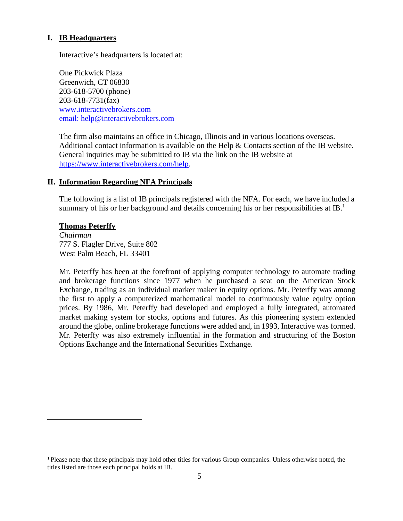## <span id="page-3-0"></span>**I. IB Headquarters**

Interactive's headquarters is located at:

One Pickwick Plaza Greenwich, CT 06830 203-618-5700 (phone) 203-618-7731(fax) [www.interactivebrokers.com](http://#) [email: help@interactivebrokers.com](http://#)

The firm also maintains an office in Chicago, Illinois and in various locations overseas. Additional contact information is available on the Help & Contacts section of the IB website. General inquiries may be submitted to IB via the link on the IB website at [https://www.interactivebrokers.com/help.](http://#)

## <span id="page-3-1"></span>**II. Information Regarding NFA Principals**

The following is a list of IB principals registered with the NFA. For each, we have included a summary of his or her background and details concerning his or her responsibilities at IB.<sup>1</sup>

#### **Thomas Peterffy**

*Chairman* 777 S. Flagler Drive, Suite 802 West Palm Beach, FL 33401

Mr. Peterffy has been at the forefront of applying computer technology to automate trading and brokerage functions since 1977 when he purchased a seat on the American Stock Exchange, trading as an individual marker maker in equity options. Mr. Peterffy was among the first to apply a computerized mathematical model to continuously value equity option prices. By 1986, Mr. Peterffy had developed and employed a fully integrated, automated market making system for stocks, options and futures. As this pioneering system extended around the globe, online brokerage functions were added and, in 1993, Interactive was formed. Mr. Peterffy was also extremely influential in the formation and structuring of the Boston Options Exchange and the International Securities Exchange.

<sup>&</sup>lt;sup>1</sup> Please note that these principals may hold other titles for various Group companies. Unless otherwise noted, the titles listed are those each principal holds at IB.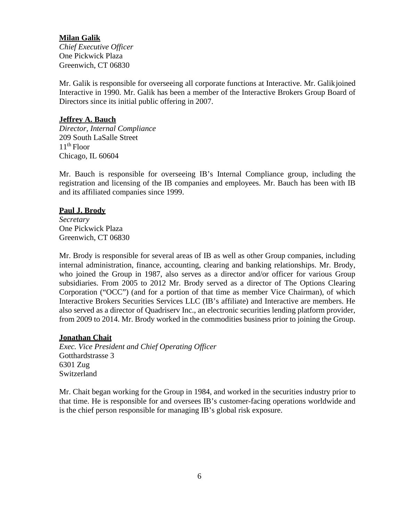## **Milan Galik**

*Chief Executive Officer*  One Pickwick Plaza Greenwich, CT 06830

Mr. Galik is responsible for overseeing all corporate functions at Interactive. Mr. Galikjoined Interactive in 1990. Mr. Galik has been a member of the Interactive Brokers Group Board of Directors since its initial public offering in 2007.

#### **Jeffrey A. Bauch**

*Director, Internal Compliance* 209 South LaSalle Street  $11<sup>th</sup>$  Floor Chicago, IL 60604

Mr. Bauch is responsible for overseeing IB's Internal Compliance group, including the registration and licensing of the IB companies and employees. Mr. Bauch has been with IB and its affiliated companies since 1999.

## **Paul J. Brody**

*Secretary* One Pickwick Plaza Greenwich, CT 06830

Mr. Brody is responsible for several areas of IB as well as other Group companies, including internal administration, finance, accounting, clearing and banking relationships. Mr. Brody, who joined the Group in 1987, also serves as a director and/or officer for various Group subsidiaries. From 2005 to 2012 Mr. Brody served as a director of The Options Clearing Corporation ("OCC") (and for a portion of that time as member Vice Chairman), of which Interactive Brokers Securities Services LLC (IB's affiliate) and Interactive are members. He also served as a director of Quadriserv Inc., an electronic securities lending platform provider, from 2009 to 2014. Mr. Brody worked in the commodities business prior to joining the Group.

## **Jonathan Chait**

*Exec. Vice President and Chief Operating Officer* Gotthardstrasse 3 6301 Zug Switzerland

Mr. Chait began working for the Group in 1984, and worked in the securities industry prior to that time. He is responsible for and oversees IB's customer-facing operations worldwide and is the chief person responsible for managing IB's global risk exposure.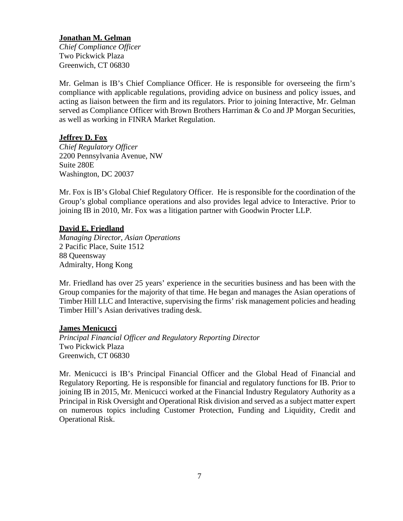# **Jonathan M. Gelman**

*Chief Compliance Officer*  Two Pickwick Plaza Greenwich, CT 06830

Mr. Gelman is IB's Chief Compliance Officer. He is responsible for overseeing the firm's compliance with applicable regulations, providing advice on business and policy issues, and acting as liaison between the firm and its regulators. Prior to joining Interactive, Mr. Gelman served as Compliance Officer with Brown Brothers Harriman & Co and JP Morgan Securities, as well as working in FINRA Market Regulation.

## **Jeffrey D. Fox**

*Chief Regulatory Officer* 2200 Pennsylvania Avenue, NW Suite 280E Washington, DC 20037

Mr. Fox is IB's Global Chief Regulatory Officer. He is responsible for the coordination of the Group's global compliance operations and also provides legal advice to Interactive. Prior to joining IB in 2010, Mr. Fox was a litigation partner with Goodwin Procter LLP*.*

## **David E. Friedland**

*Managing Director, Asian Operations* 2 Pacific Place, Suite 1512 88 Queensway Admiralty, Hong Kong

Mr. Friedland has over 25 years' experience in the securities business and has been with the Group companies for the majority of that time. He began and manages the Asian operations of Timber Hill LLC and Interactive, supervising the firms' risk management policies and heading Timber Hill's Asian derivatives trading desk.

#### **James Menicucci**

*Principal Financial Officer and Regulatory Reporting Director* Two Pickwick Plaza Greenwich, CT 06830

Mr. Menicucci is IB's Principal Financial Officer and the Global Head of Financial and Regulatory Reporting. He is responsible for financial and regulatory functions for IB. Prior to joining IB in 2015, Mr. Menicucci worked at the Financial Industry Regulatory Authority as a Principal in Risk Oversight and Operational Risk division and served as a subject matter expert on numerous topics including Customer Protection, Funding and Liquidity, Credit and Operational Risk.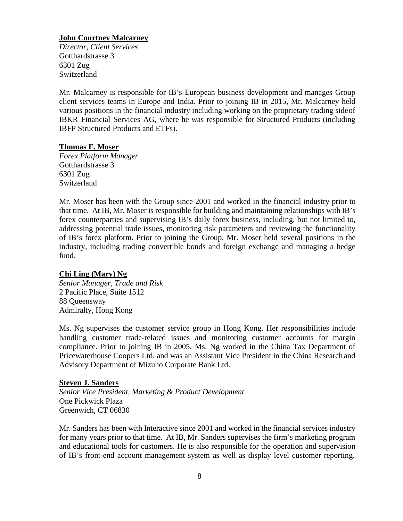## **John Courtney Malcarney**

*Director, Client Services*  Gotthardstrasse 3 6301 Zug Switzerland

Mr. Malcarney is responsible for IB's European business development and manages Group client services teams in Europe and India. Prior to joining IB in 2015, Mr. Malcarney held various positions in the financial industry including working on the proprietary trading sideof IBKR Financial Services AG, where he was responsible for Structured Products (including IBFP Structured Products and ETFs).

#### **Thomas F. Moser**

*Forex Platform Manager*  Gotthardstrasse 3 6301 Zug **Switzerland** 

Mr. Moser has been with the Group since 2001 and worked in the financial industry prior to that time. At IB, Mr. Moser is responsible for building and maintaining relationships with IB's forex counterparties and supervising IB's daily forex business, including, but not limited to, addressing potential trade issues, monitoring risk parameters and reviewing the functionality of IB's forex platform. Prior to joining the Group, Mr. Moser held several positions in the industry, including trading convertible bonds and foreign exchange and managing a hedge fund.

#### **Chi Ling (Mary) Ng**

*Senior Manager, Trade and Risk* 2 Pacific Place, Suite 1512 88 Queensway Admiralty, Hong Kong

Ms. Ng supervises the customer service group in Hong Kong. Her responsibilities include handling customer trade-related issues and monitoring customer accounts for margin compliance. Prior to joining IB in 2005, Ms. Ng worked in the China Tax Department of Pricewaterhouse Coopers Ltd. and was an Assistant Vice President in the China Research and Advisory Department of Mizuho Corporate Bank Ltd.

#### **Steven J. Sanders**

*Senior Vice President, Marketing & Product Development* One Pickwick Plaza Greenwich, CT 06830

Mr. Sanders has been with Interactive since 2001 and worked in the financial services industry for many years prior to that time. At IB, Mr. Sanders supervises the firm's marketing program and educational tools for customers. He is also responsible for the operation and supervision of IB's front-end account management system as well as display level customer reporting.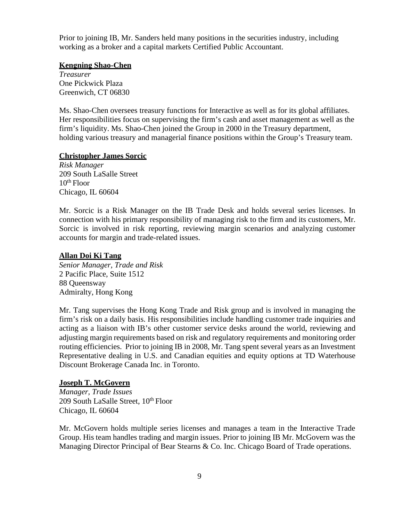Prior to joining IB, Mr. Sanders held many positions in the securities industry, including working as a broker and a capital markets Certified Public Accountant.

## **Kengning Shao-Chen**

*Treasurer* One Pickwick Plaza Greenwich, CT 06830

Ms. Shao-Chen oversees treasury functions for Interactive as well as for its global affiliates. Her responsibilities focus on supervising the firm's cash and asset management as well as the firm's liquidity. Ms. Shao-Chen joined the Group in 2000 in the Treasury department, holding various treasury and managerial finance positions within the Group's Treasury team.

## **Christopher James Sorcic**

*Risk Manager* 209 South LaSalle Street  $10^{th}$  Floor Chicago, IL 60604

Mr. Sorcic is a Risk Manager on the IB Trade Desk and holds several series licenses. In connection with his primary responsibility of managing risk to the firm and its customers, Mr. Sorcic is involved in risk reporting, reviewing margin scenarios and analyzing customer accounts for margin and trade-related issues.

## **Allan Doi Ki Tang**

*Senior Manager, Trade and Risk* 2 Pacific Place, Suite 1512 88 Queensway Admiralty, Hong Kong

Mr. Tang supervises the Hong Kong Trade and Risk group and is involved in managing the firm's risk on a daily basis. His responsibilities include handling customer trade inquiries and acting as a liaison with IB's other customer service desks around the world, reviewing and adjusting margin requirements based on risk and regulatory requirements and monitoring order routing efficiencies. Prior to joining IB in 2008, Mr. Tang spent several years as an Investment Representative dealing in U.S. and Canadian equities and equity options at TD Waterhouse Discount Brokerage Canada Inc. in Toronto.

## **Joseph T. McGovern**

*Manager, Trade Issues* 209 South LaSalle Street, 10<sup>th</sup> Floor Chicago, IL 60604

Mr. McGovern holds multiple series licenses and manages a team in the Interactive Trade Group. His team handles trading and margin issues. Prior to joining IB Mr. McGovern was the Managing Director Principal of Bear Stearns & Co. Inc. Chicago Board of Trade operations.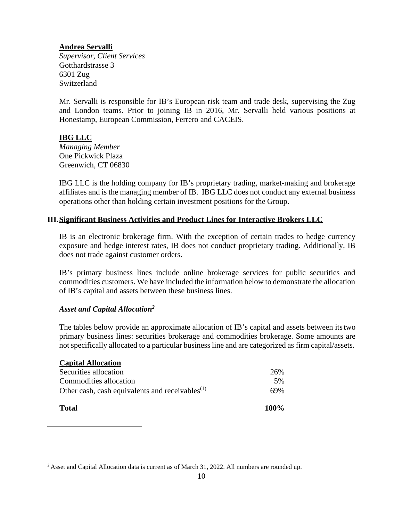## **Andrea Servalli**

*Supervisor, Client Services*  Gotthardstrasse 3 6301 Zug Switzerland

Mr. Servalli is responsible for IB's European risk team and trade desk, supervising the Zug and London teams. Prior to joining IB in 2016, Mr. Servalli held various positions at Honestamp, European Commission, Ferrero and CACEIS.

# **IBG LLC**

*Managing Member*  One Pickwick Plaza Greenwich, CT 06830

IBG LLC is the holding company for IB's proprietary trading, market-making and brokerage affiliates and is the managing member of IB. IBG LLC does not conduct any external business operations other than holding certain investment positions for the Group.

# <span id="page-8-0"></span>**III.Significant Business Activities and Product Lines for Interactive Brokers LLC**

IB is an electronic brokerage firm. With the exception of certain trades to hedge currency exposure and hedge interest rates, IB does not conduct proprietary trading. Additionally, IB does not trade against customer orders.

IB's primary business lines include online brokerage services for public securities and commodities customers. We have included the information below to demonstrate the allocation of IB's capital and assets between these business lines.

## *Asset and Capital Allocation2*

The tables below provide an approximate allocation of IB's capital and assets between itstwo primary business lines: securities brokerage and commodities brokerage. Some amounts are not specifically allocated to a particular business line and are categorized as firm capital/assets.

| <b>Capital Allocation</b>                                   |         |  |
|-------------------------------------------------------------|---------|--|
| Securities allocation                                       | 26%     |  |
| Commodities allocation                                      | .5%     |  |
| Other cash, cash equivalents and receivables <sup>(1)</sup> | 69%     |  |
| <b>Total</b>                                                | $100\%$ |  |

<sup>&</sup>lt;sup>2</sup> Asset and Capital Allocation data is current as of March 31, 2022. All numbers are rounded up.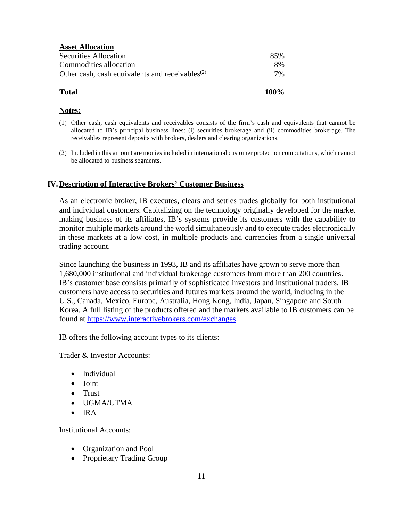| <b>Asset Allocation</b>                                                  |      |  |
|--------------------------------------------------------------------------|------|--|
| Securities Allocation                                                    | 85%  |  |
| Commodities allocation                                                   | 8%   |  |
| Other cash, cash equivalents and receivables <sup><math>(2)</math></sup> | 7%   |  |
| <b>Total</b>                                                             | 100% |  |

## **Notes:**

- (1) Other cash, cash equivalents and receivables consists of the firm's cash and equivalents that cannot be allocated to IB's principal business lines: (i) securities brokerage and (ii) commodities brokerage. The receivables represent deposits with brokers, dealers and clearing organizations.
- (2) Included in this amount are monies included in international customer protection computations, which cannot be allocated to business segments.

#### <span id="page-9-0"></span>**IV. Description of Interactive Brokers' Customer Business**

As an electronic broker, IB executes, clears and settles trades globally for both institutional and individual customers. Capitalizing on the technology originally developed for the market making business of its affiliates, IB's systems provide its customers with the capability to monitor multiple markets around the world simultaneously and to execute trades electronically in these markets at a low cost, in multiple products and currencies from a single universal trading account.

Since launching the business in 1993, IB and its affiliates have grown to serve more than 1,680,000 institutional and individual brokerage customers from more than 200 countries. IB's customer base consists primarily of sophisticated investors and institutional traders. IB customers have access to securities and futures markets around the world, including in the U.S., Canada, Mexico, Europe, Australia, Hong Kong, India, Japan, Singapore and South Korea. A full listing of the products offered and the markets available to IB customers can be found at [https://www.interactivebrokers.com/exchanges.](http://#)

IB offers the following account types to its clients:

Trader & Investor Accounts:

- Individual
- Joint
- Trust
- UGMA/UTMA
- IRA

Institutional Accounts:

- Organization and Pool
- Proprietary Trading Group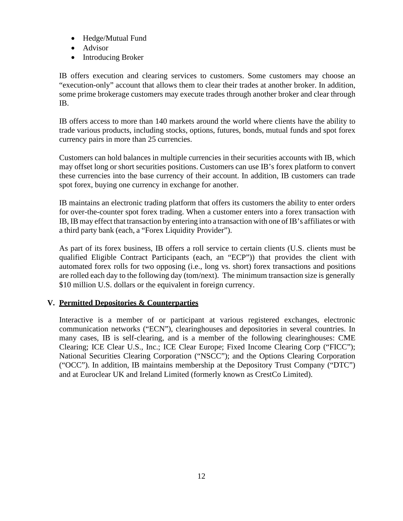- Hedge/Mutual Fund
- Advisor
- Introducing Broker

IB offers execution and clearing services to customers. Some customers may choose an "execution-only" account that allows them to clear their trades at another broker. In addition, some prime brokerage customers may execute trades through another broker and clear through IB.

IB offers access to more than 140 markets around the world where clients have the ability to trade various products, including stocks, options, futures, bonds, mutual funds and spot forex currency pairs in more than 25 currencies.

Customers can hold balances in multiple currencies in their securities accounts with IB, which may offset long or short securities positions. Customers can use IB's forex platform to convert these currencies into the base currency of their account. In addition, IB customers can trade spot forex, buying one currency in exchange for another.

IB maintains an electronic trading platform that offers its customers the ability to enter orders for over-the-counter spot forex trading. When a customer enters into a forex transaction with IB, IB may effect that transaction by entering into a transaction with one of IB's affiliates or with a third party bank (each, a "Forex Liquidity Provider").

As part of its forex business, IB offers a roll service to certain clients (U.S. clients must be qualified Eligible Contract Participants (each, an "ECP")) that provides the client with automated forex rolls for two opposing (i.e., long vs. short) forex transactions and positions are rolled each day to the following day (tom/next). The minimum transaction size is generally \$10 million U.S. dollars or the equivalent in foreign currency.

## <span id="page-10-0"></span>**V. Permitted Depositories & Counterparties**

Interactive is a member of or participant at various registered exchanges, electronic communication networks ("ECN"), clearinghouses and depositories in several countries. In many cases, IB is self-clearing, and is a member of the following clearinghouses: CME Clearing; ICE Clear U.S., Inc.; ICE Clear Europe; Fixed Income Clearing Corp ("FICC"); National Securities Clearing Corporation ("NSCC"); and the Options Clearing Corporation ("OCC"). In addition, IB maintains membership at the Depository Trust Company ("DTC") and at Euroclear UK and Ireland Limited (formerly known as CrestCo Limited).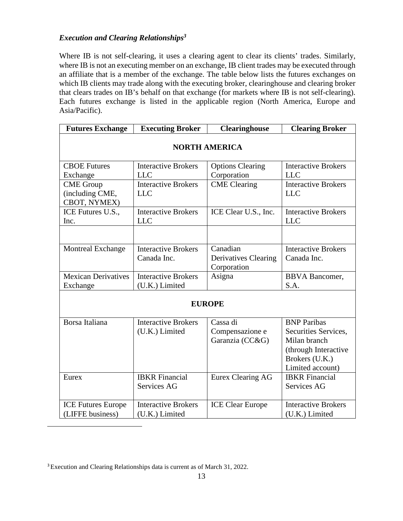# *Execution and Clearing Relationships3*

Where IB is not self-clearing, it uses a clearing agent to clear its clients' trades. Similarly, where IB is not an executing member on an exchange, IB client trades may be executed through an affiliate that is a member of the exchange. The table below lists the futures exchanges on which IB clients may trade along with the executing broker, clearinghouse and clearing broker that clears trades on IB's behalf on that exchange (for markets where IB is not self-clearing). Each futures exchange is listed in the applicable region (North America, Europe and Asia/Pacific).

| <b>Futures Exchange</b>         | <b>Executing Broker</b>    | <b>Clearinghouse</b>                       | <b>Clearing Broker</b>     |  |
|---------------------------------|----------------------------|--------------------------------------------|----------------------------|--|
| <b>NORTH AMERICA</b>            |                            |                                            |                            |  |
| <b>CBOE Futures</b>             | <b>Interactive Brokers</b> | <b>Options Clearing</b>                    | <b>Interactive Brokers</b> |  |
| Exchange                        | <b>LLC</b>                 | Corporation                                | <b>LLC</b>                 |  |
| <b>CME</b> Group                | <b>Interactive Brokers</b> | <b>CME</b> Clearing                        | <b>Interactive Brokers</b> |  |
| (including CME,<br>CBOT, NYMEX) | <b>LLC</b>                 |                                            | <b>LLC</b>                 |  |
| ICE Futures U.S.,               | <b>Interactive Brokers</b> | ICE Clear U.S., Inc.                       | <b>Interactive Brokers</b> |  |
| Inc.                            | <b>LLC</b>                 |                                            | <b>LLC</b>                 |  |
|                                 |                            |                                            |                            |  |
| <b>Montreal Exchange</b>        | <b>Interactive Brokers</b> | Canadian                                   | <b>Interactive Brokers</b> |  |
|                                 | Canada Inc.                | <b>Derivatives Clearing</b><br>Corporation | Canada Inc.                |  |
| <b>Mexican Derivatives</b>      | <b>Interactive Brokers</b> | Asigna                                     | <b>BBVA</b> Bancomer,      |  |
| Exchange                        | (U.K.) Limited             |                                            | S.A.                       |  |
| <b>EUROPE</b>                   |                            |                                            |                            |  |
| Borsa Italiana                  | <b>Interactive Brokers</b> | Cassa di                                   | <b>BNP</b> Paribas         |  |
|                                 | (U.K.) Limited             | Compensazione e                            | Securities Services,       |  |
|                                 |                            | Garanzia (CC&G)                            | Milan branch               |  |
|                                 |                            |                                            | (through Interactive       |  |
|                                 |                            |                                            | Brokers (U.K.)             |  |
|                                 |                            |                                            | Limited account)           |  |
| Eurex                           | <b>IBKR</b> Financial      | Eurex Clearing AG                          | <b>IBKR</b> Financial      |  |
|                                 | Services AG                |                                            | <b>Services AG</b>         |  |
| <b>ICE Futures Europe</b>       | <b>Interactive Brokers</b> | <b>ICE Clear Europe</b>                    | <b>Interactive Brokers</b> |  |
| (LIFFE business)                | (U.K.) Limited             |                                            | (U.K.) Limited             |  |

<sup>3</sup> Execution and Clearing Relationships data is current as of March 31, 2022.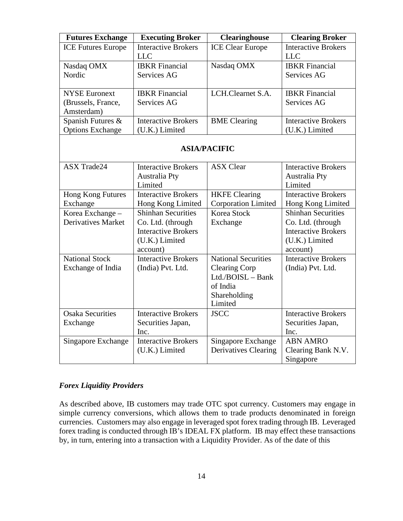| <b>Futures Exchange</b>   | <b>Executing Broker</b>                  | <b>Clearinghouse</b>          | <b>Clearing Broker</b>                   |
|---------------------------|------------------------------------------|-------------------------------|------------------------------------------|
| <b>ICE Futures Europe</b> | <b>Interactive Brokers</b><br><b>LLC</b> | <b>ICE Clear Europe</b>       | <b>Interactive Brokers</b><br><b>LLC</b> |
| Nasdaq OMX                | <b>IBKR</b> Financial                    | Nasdaq OMX                    | <b>IBKR</b> Financial                    |
| Nordic                    | Services AG                              |                               | Services AG                              |
| <b>NYSE Euronext</b>      | <b>IBKR</b> Financial                    | LCH.Clearnet S.A.             | <b>IBKR</b> Financial                    |
| (Brussels, France,        | Services AG                              |                               | Services AG                              |
| Amsterdam)                |                                          |                               |                                          |
| Spanish Futures &         | <b>Interactive Brokers</b>               | <b>BME</b> Clearing           | <b>Interactive Brokers</b>               |
| <b>Options Exchange</b>   | (U.K.) Limited                           |                               | (U.K.) Limited                           |
| <b>ASIA/PACIFIC</b>       |                                          |                               |                                          |
| <b>ASX Trade24</b>        | <b>Interactive Brokers</b>               | <b>ASX Clear</b>              | <b>Interactive Brokers</b>               |
|                           | <b>Australia Pty</b>                     |                               | <b>Australia Pty</b>                     |
|                           | Limited                                  |                               | Limited                                  |
| Hong Kong Futures         | <b>Interactive Brokers</b>               | <b>HKFE</b> Clearing          | <b>Interactive Brokers</b>               |
| Exchange                  | Hong Kong Limited                        | <b>Corporation Limited</b>    | Hong Kong Limited                        |
| Korea Exchange -          | <b>Shinhan Securities</b>                | Korea Stock                   | <b>Shinhan Securities</b>                |
| <b>Derivatives Market</b> | Co. Ltd. (through                        | Exchange                      | Co. Ltd. (through                        |
|                           | <b>Interactive Brokers</b>               |                               | <b>Interactive Brokers</b>               |
|                           | (U.K.) Limited                           |                               | (U.K.) Limited                           |
|                           | account)                                 |                               | account)                                 |
| <b>National Stock</b>     | <b>Interactive Brokers</b>               | <b>National Securities</b>    | <b>Interactive Brokers</b>               |
| Exchange of India         | (India) Pvt. Ltd.                        | <b>Clearing Corp</b>          | (India) Pvt. Ltd.                        |
|                           |                                          | Ltd./BOISL - Bank<br>of India |                                          |
|                           |                                          |                               |                                          |
|                           |                                          | Shareholding<br>Limited       |                                          |
| <b>Osaka Securities</b>   | <b>Interactive Brokers</b>               | <b>JSCC</b>                   | <b>Interactive Brokers</b>               |
|                           |                                          |                               |                                          |
| Exchange                  | Securities Japan,<br>Inc.                |                               | Securities Japan,<br>Inc.                |
| Singapore Exchange        | <b>Interactive Brokers</b>               | Singapore Exchange            | <b>ABN AMRO</b>                          |
|                           | (U.K.) Limited                           | <b>Derivatives Clearing</b>   | Clearing Bank N.V.                       |
|                           |                                          |                               | Singapore                                |
|                           |                                          |                               |                                          |

## <span id="page-12-0"></span>*Forex Liquidity Providers*

As described above, IB customers may trade OTC spot currency. Customers may engage in simple currency conversions, which allows them to trade products denominated in foreign currencies. Customers may also engage in leveraged spot forex trading through IB. Leveraged forex trading is conducted through IB's IDEAL FX platform. IB may effect these transactions by, in turn, entering into a transaction with a Liquidity Provider. As of the date of this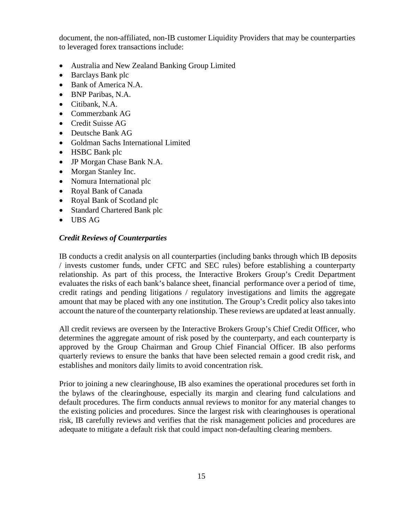document, the non-affiliated, non-IB customer Liquidity Providers that may be counterparties to leveraged forex transactions include:

- Australia and New Zealand Banking Group Limited
- Barclays Bank plc
- Bank of America N.A.
- BNP Paribas, N.A.
- Citibank, N.A.
- Commerzbank AG
- Credit Suisse AG
- Deutsche Bank AG
- Goldman Sachs International Limited
- HSBC Bank plc
- JP Morgan Chase Bank N.A.
- Morgan Stanley Inc.
- Nomura International plc
- Royal Bank of Canada
- Royal Bank of Scotland plc
- Standard Chartered Bank plc
- UBS AG

## <span id="page-13-0"></span>*Credit Reviews of Counterparties*

IB conducts a credit analysis on all counterparties (including banks through which IB deposits / invests customer funds, under CFTC and SEC rules) before establishing a counterparty relationship. As part of this process, the Interactive Brokers Group's Credit Department evaluates the risks of each bank's balance sheet, financial performance over a period of time, credit ratings and pending litigations / regulatory investigations and limits the aggregate amount that may be placed with any one institution. The Group's Credit policy also takesinto account the nature of the counterparty relationship. These reviews are updated at least annually.

All credit reviews are overseen by the Interactive Brokers Group's Chief Credit Officer, who determines the aggregate amount of risk posed by the counterparty, and each counterparty is approved by the Group Chairman and Group Chief Financial Officer. IB also performs quarterly reviews to ensure the banks that have been selected remain a good credit risk, and establishes and monitors daily limits to avoid concentration risk.

Prior to joining a new clearinghouse, IB also examines the operational procedures set forth in the bylaws of the clearinghouse, especially its margin and clearing fund calculations and default procedures. The firm conducts annual reviews to monitor for any material changes to the existing policies and procedures. Since the largest risk with clearinghouses is operational risk, IB carefully reviews and verifies that the risk management policies and procedures are adequate to mitigate a default risk that could impact non-defaulting clearing members.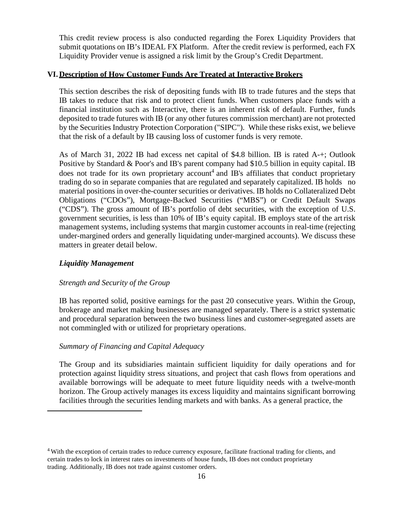This credit review process is also conducted regarding the Forex Liquidity Providers that submit quotations on IB's IDEAL FX Platform. After the credit review is performed, each FX Liquidity Provider venue is assigned a risk limit by the Group's Credit Department.

# <span id="page-14-0"></span>**VI. Description of How Customer Funds Are Treated at Interactive Brokers**

This section describes the risk of depositing funds with IB to trade futures and the steps that IB takes to reduce that risk and to protect client funds. When customers place funds with a financial institution such as Interactive, there is an inherent risk of default. Further, funds deposited to trade futures with IB (or any other futures commission merchant) are not protected by the Securities Industry Protection Corporation ("SIPC"). While these risks exist, we believe that the risk of a default by IB causing loss of customer funds is very remote.

As of March 31, 2022 IB had excess net capital of \$4.8 billion. IB is rated A-+; Outlook Positive by Standard & Poor's and IB's parent company had \$10.5 billion in equity capital. IB does not trade for its own proprietary account<sup>4</sup> and IB's affiliates that conduct proprietary trading do so in separate companies that are regulated and separately capitalized. IB holds no material positions in over-the-counter securities or derivatives. IB holds no Collateralized Debt Obligations ("CDOs"), Mortgage-Backed Securities ("MBS") or Credit Default Swaps ("CDS"). The gross amount of IB's portfolio of debt securities, with the exception of U.S. government securities, is less than 10% of IB's equity capital. IB employs state of the artrisk management systems, including systems that margin customer accounts in real-time (rejecting under-margined orders and generally liquidating under-margined accounts). We discuss these matters in greater detail below.

## <span id="page-14-1"></span>*Liquidity Management*

#### *Strength and Security of the Group*

IB has reported solid, positive earnings for the past 20 consecutive years. Within the Group, brokerage and market making businesses are managed separately. There is a strict systematic and procedural separation between the two business lines and customer-segregated assets are not commingled with or utilized for proprietary operations.

#### *Summary of Financing and Capital Adequacy*

The Group and its subsidiaries maintain sufficient liquidity for daily operations and for protection against liquidity stress situations, and project that cash flows from operations and available borrowings will be adequate to meet future liquidity needs with a twelve-month horizon. The Group actively manages its excess liquidity and maintains significant borrowing facilities through the securities lending markets and with banks. As a general practice, the

<sup>&</sup>lt;sup>4</sup> With the exception of certain trades to reduce currency exposure, facilitate fractional trading for clients, and certain trades to lock in interest rates on investments of house funds, IB does not conduct proprietary trading. Additionally, IB does not trade against customer orders.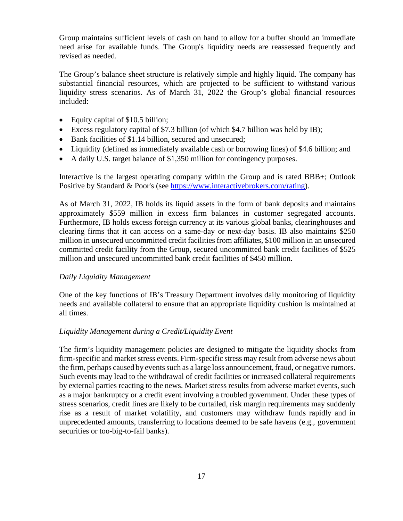Group maintains sufficient levels of cash on hand to allow for a buffer should an immediate need arise for available funds. The Group's liquidity needs are reassessed frequently and revised as needed.

The Group's balance sheet structure is relatively simple and highly liquid. The company has substantial financial resources, which are projected to be sufficient to withstand various liquidity stress scenarios. As of March 31, 2022 the Group's global financial resources included:

- Equity capital of \$10.5 billion;
- Excess regulatory capital of \$7.3 billion (of which \$4.7 billion was held by IB);
- Bank facilities of \$1.14 billion, secured and unsecured;
- Liquidity (defined as immediately available cash or borrowing lines) of \$4.6 billion; and
- A daily U.S. target balance of \$1,350 million for contingency purposes.

Interactive is the largest operating company within the Group and is rated BBB+; Outlook Positive by Standard & Poor's (see [https://www.interactivebrokers.com/rating\)](http://#).

As of March 31, 2022, IB holds its liquid assets in the form of bank deposits and maintains approximately \$559 million in excess firm balances in customer segregated accounts. Furthermore, IB holds excess foreign currency at its various global banks, clearinghouses and clearing firms that it can access on a same-day or next-day basis. IB also maintains \$250 million in unsecured uncommitted credit facilitiesfrom affiliates, \$100 million in an unsecured committed credit facility from the Group, secured uncommitted bank credit facilities of \$525 million and unsecured uncommitted bank credit facilities of \$450 million.

## *Daily Liquidity Management*

One of the key functions of IB's Treasury Department involves daily monitoring of liquidity needs and available collateral to ensure that an appropriate liquidity cushion is maintained at all times.

## *Liquidity Management during a Credit/Liquidity Event*

The firm's liquidity management policies are designed to mitigate the liquidity shocks from firm-specific and market stress events. Firm-specific stress may result from adverse news about the firm, perhaps caused by events such as a large loss announcement, fraud, or negative rumors. Such events may lead to the withdrawal of credit facilities or increased collateral requirements by external parties reacting to the news. Market stress results from adverse market events, such as a major bankruptcy or a credit event involving a troubled government. Under these types of stress scenarios, credit lines are likely to be curtailed, risk margin requirements may suddenly rise as a result of market volatility, and customers may withdraw funds rapidly and in unprecedented amounts, transferring to locations deemed to be safe havens (e.g., government securities or too-big-to-fail banks).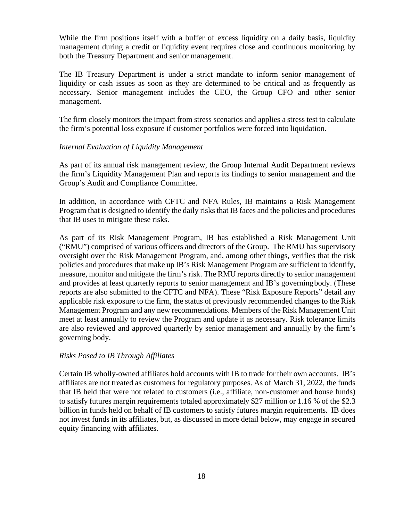While the firm positions itself with a buffer of excess liquidity on a daily basis, liquidity management during a credit or liquidity event requires close and continuous monitoring by both the Treasury Department and senior management.

The IB Treasury Department is under a strict mandate to inform senior management of liquidity or cash issues as soon as they are determined to be critical and as frequently as necessary. Senior management includes the CEO, the Group CFO and other senior management.

The firm closely monitors the impact from stress scenarios and applies a stress test to calculate the firm's potential loss exposure if customer portfolios were forced into liquidation.

#### *Internal Evaluation of Liquidity Management*

As part of its annual risk management review, the Group Internal Audit Department reviews the firm's Liquidity Management Plan and reports its findings to senior management and the Group's Audit and Compliance Committee.

In addition, in accordance with CFTC and NFA Rules, IB maintains a Risk Management Program that is designed to identify the daily risks that IB faces and the policies and procedures that IB uses to mitigate these risks.

As part of its Risk Management Program, IB has established a Risk Management Unit ("RMU") comprised of various officers and directors of the Group. The RMU has supervisory oversight over the Risk Management Program, and, among other things, verifies that the risk policies and procedures that make up IB's Risk Management Program are sufficient to identify, measure, monitor and mitigate the firm's risk. The RMU reports directly to senior management and provides at least quarterly reports to senior management and IB's governingbody. (These reports are also submitted to the CFTC and NFA). These "Risk Exposure Reports" detail any applicable risk exposure to the firm, the status of previously recommended changes to the Risk Management Program and any new recommendations. Members of the Risk Management Unit meet at least annually to review the Program and update it as necessary. Risk tolerance limits are also reviewed and approved quarterly by senior management and annually by the firm's governing body.

## *Risks Posed to IB Through Affiliates*

Certain IB wholly-owned affiliates hold accounts with IB to trade for their own accounts. IB's affiliates are not treated as customers for regulatory purposes. As of March 31, 2022, the funds that IB held that were not related to customers (i.e., affiliate, non-customer and house funds) to satisfy futures margin requirements totaled approximately \$27 million or 1.16 % of the \$2.3 billion in funds held on behalf of IB customers to satisfy futures margin requirements. IB does not invest funds in its affiliates, but, as discussed in more detail below, may engage in secured equity financing with affiliates.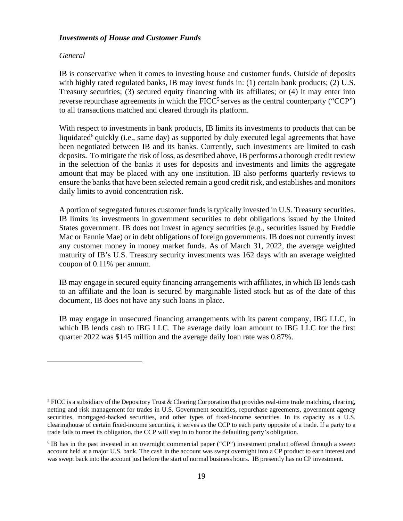#### <span id="page-17-0"></span>*Investments of House and Customer Funds*

#### *General*

IB is conservative when it comes to investing house and customer funds. Outside of deposits with highly rated regulated banks, IB may invest funds in: (1) certain bank products; (2) U.S. Treasury securities; (3) secured equity financing with its affiliates; or (4) it may enter into reverse repurchase agreements in which the  $FICC<sup>5</sup>$  serves as the central counterparty ("CCP") to all transactions matched and cleared through its platform.

With respect to investments in bank products, IB limits its investments to products that can be liquidated<sup>6</sup> quickly (i.e., same day) as supported by duly executed legal agreements that have been negotiated between IB and its banks. Currently, such investments are limited to cash deposits. To mitigate the risk of loss, as described above, IB performs a thorough credit review in the selection of the banks it uses for deposits and investments and limits the aggregate amount that may be placed with any one institution. IB also performs quarterly reviews to ensure the banks that have been selected remain a good credit risk, and establishes and monitors daily limits to avoid concentration risk.

A portion of segregated futures customer funds is typically invested in U.S. Treasury securities. IB limits its investments in government securities to debt obligations issued by the United States government. IB does not invest in agency securities (e.g., securities issued by Freddie Mac or Fannie Mae) or in debt obligations of foreign governments. IB does not currently invest any customer money in money market funds. As of March 31, 2022, the average weighted maturity of IB's U.S. Treasury security investments was 162 days with an average weighted coupon of 0.11% per annum.

IB may engage in secured equity financing arrangements with affiliates, in which IB lends cash to an affiliate and the loan is secured by marginable listed stock but as of the date of this document, IB does not have any such loans in place.

IB may engage in unsecured financing arrangements with its parent company, IBG LLC, in which IB lends cash to IBG LLC. The average daily loan amount to IBG LLC for the first quarter 2022 was \$145 million and the average daily loan rate was 0.87%.

 $<sup>5</sup> FICC is a subsidiary of the Depository Trust & Clearing Corporation that provides real-time trade matching, clearing,$ </sup> netting and risk management for trades in U.S. Government securities, repurchase agreements, government agency securities, mortgaged-backed securities, and other types of fixed-income securities. In its capacity as a U.S. clearinghouse of certain fixed-income securities, it serves as the CCP to each party opposite of a trade. If a party to a trade fails to meet its obligation, the CCP will step in to honor the defaulting party's obligation.

<sup>6</sup> IB has in the past invested in an overnight commercial paper ("CP") investment product offered through a sweep account held at a major U.S. bank. The cash in the account was swept overnight into a CP product to earn interest and wasswept back into the account just before the start of normal business hours. IB presently has no CP investment.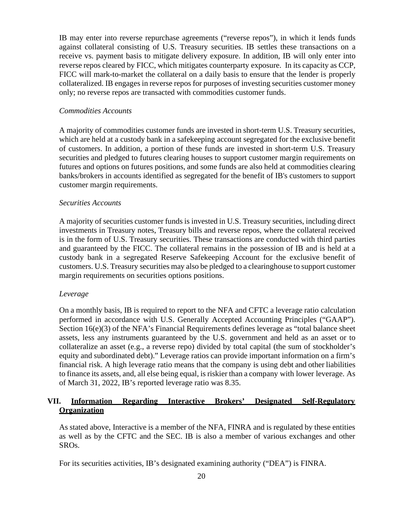IB may enter into reverse repurchase agreements ("reverse repos"), in which it lends funds against collateral consisting of U.S. Treasury securities. IB settles these transactions on a receive vs. payment basis to mitigate delivery exposure. In addition, IB will only enter into reverse repos cleared by FICC, which mitigates counterparty exposure. In its capacity as CCP, FICC will mark-to-market the collateral on a daily basis to ensure that the lender is properly collateralized. IB engages in reverse repos for purposes of investing securities customer money only; no reverse repos are transacted with commodities customer funds.

#### *Commodities Accounts*

A majority of commodities customer funds are invested in short-term U.S. Treasury securities, which are held at a custody bank in a safekeeping account segregated for the exclusive benefit of customers. In addition, a portion of these funds are invested in short-term U.S. Treasury securities and pledged to futures clearing houses to support customer margin requirements on futures and options on futures positions, and some funds are also held at commodities clearing banks/brokers in accounts identified as segregated for the benefit of IB's customers to support customer margin requirements.

#### *Securities Accounts*

A majority of securities customer funds is invested in U.S. Treasury securities, including direct investments in Treasury notes, Treasury bills and reverse repos, where the collateral received is in the form of U.S. Treasury securities. These transactions are conducted with third parties and guaranteed by the FICC. The collateral remains in the possession of IB and is held at a custody bank in a segregated Reserve Safekeeping Account for the exclusive benefit of customers. U.S. Treasury securities may also be pledged to a clearinghouse to support customer margin requirements on securities options positions.

#### *Leverage*

On a monthly basis, IB is required to report to the NFA and CFTC a leverage ratio calculation performed in accordance with U.S. Generally Accepted Accounting Principles ("GAAP"). Section 16(e)(3) of the NFA's Financial Requirements defines leverage as "total balance sheet assets, less any instruments guaranteed by the U.S. government and held as an asset or to collateralize an asset (e.g., a reverse repo) divided by total capital (the sum of stockholder's equity and subordinated debt)." Leverage ratios can provide important information on a firm's financial risk. A high leverage ratio means that the company is using debt and other liabilities to finance its assets, and, all else being equal, is riskier than a company with lower leverage. As of March 31, 2022, IB's reported leverage ratio was 8.35.

## **VII. Information Regarding Interactive Brokers' Designated Self-Regulatory Organization**

As stated above, Interactive is a member of the NFA, FINRA and is regulated by these entities as well as by the CFTC and the SEC. IB is also a member of various exchanges and other SROs.

For its securities activities, IB's designated examining authority ("DEA") is FINRA.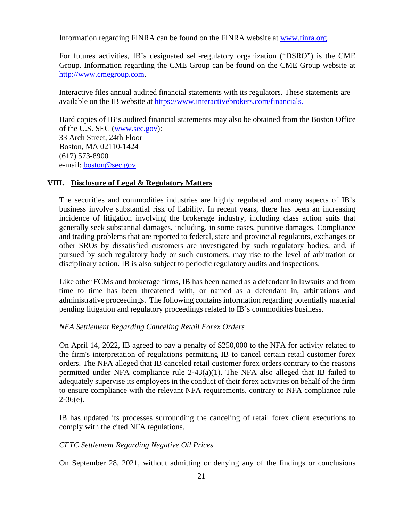Information regarding FINRA can be found on the FINRA website at [www.finra.org.](http://#)

For futures activities, IB's designated self-regulatory organization ("DSRO") is the CME Group. Information regarding the CME Group can be found on the CME Group website at [http://www.cmegroup.com.](http://#)

Interactive files annual audited financial statements with its regulators. These statements are available on the IB website at [https://www.interactivebrokers.com/financials.](http://#)

Hard copies of IB's audited financial statements may also be obtained from the Boston Office of the U.S. SEC [\(www.sec.gov\)](http://#): 33 Arch Street, 24th Floor Boston, MA 02110-1424 (617) 573-8900 e-mail: [boston@sec.gov](http://#)

## **VIII. Disclosure of Legal & Regulatory Matters**

The securities and commodities industries are highly regulated and many aspects of IB's business involve substantial risk of liability. In recent years, there has been an increasing incidence of litigation involving the brokerage industry, including class action suits that generally seek substantial damages, including, in some cases, punitive damages. Compliance and trading problems that are reported to federal, state and provincial regulators, exchanges or other SROs by dissatisfied customers are investigated by such regulatory bodies, and, if pursued by such regulatory body or such customers, may rise to the level of arbitration or disciplinary action. IB is also subject to periodic regulatory audits and inspections.

Like other FCMs and brokerage firms, IB has been named as a defendant in lawsuits and from time to time has been threatened with, or named as a defendant in, arbitrations and administrative proceedings. The following contains information regarding potentially material pending litigation and regulatory proceedings related to IB's commodities business.

#### *NFA Settlement Regarding Canceling Retail Forex Orders*

On April 14, 2022, IB agreed to pay a penalty of \$250,000 to the NFA for activity related to the firm's interpretation of regulations permitting IB to cancel certain retail customer forex orders. The NFA alleged that IB canceled retail customer forex orders contrary to the reasons permitted under NFA compliance rule 2-43(a)(1). The NFA also alleged that IB failed to adequately supervise its employees in the conduct of their forex activities on behalf of the firm to ensure compliance with the relevant NFA requirements, contrary to NFA compliance rule  $2-36(e)$ .

IB has updated its processes surrounding the canceling of retail forex client executions to comply with the cited NFA regulations.

## *CFTC Settlement Regarding Negative Oil Prices*

On September 28, 2021, without admitting or denying any of the findings or conclusions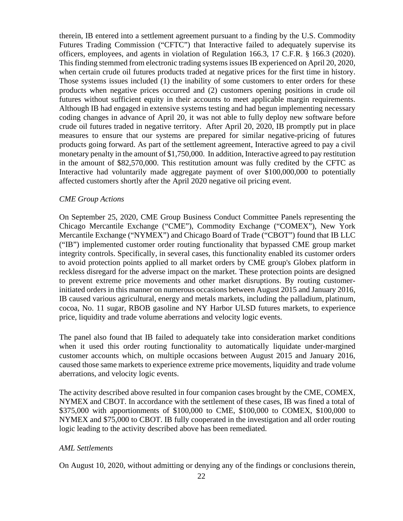therein, IB entered into a settlement agreement pursuant to a finding by the U.S. Commodity Futures Trading Commission ("CFTC") that Interactive failed to adequately supervise its officers, employees, and agents in violation of Regulation 166.3, 17 C.F.R. § 166.3 (2020). This finding stemmed from electronic trading systems issues IB experienced on April 20, 2020, when certain crude oil futures products traded at negative prices for the first time in history. Those systems issues included (1) the inability of some customers to enter orders for these products when negative prices occurred and (2) customers opening positions in crude oil futures without sufficient equity in their accounts to meet applicable margin requirements. Although IB had engaged in extensive systems testing and had begun implementing necessary coding changes in advance of April 20, it was not able to fully deploy new software before crude oil futures traded in negative territory. After April 20, 2020, IB promptly put in place measures to ensure that our systems are prepared for similar negative-pricing of futures products going forward. As part of the settlement agreement, Interactive agreed to pay a civil monetary penalty in the amount of \$1,750,000. In addition, Interactive agreed to pay restitution in the amount of \$82,570,000. This restitution amount was fully credited by the CFTC as Interactive had voluntarily made aggregate payment of over \$100,000,000 to potentially affected customers shortly after the April 2020 negative oil pricing event.

#### *CME Group Actions*

On September 25, 2020, CME Group Business Conduct Committee Panels representing the Chicago Mercantile Exchange ("CME"), Commodity Exchange ("COMEX"), New York Mercantile Exchange ("NYMEX") and Chicago Board of Trade ("CBOT") found that IB LLC ("IB") implemented customer order routing functionality that bypassed CME group market integrity controls. Specifically, in several cases, this functionality enabled its customer orders to avoid protection points applied to all market orders by CME group's Globex platform in reckless disregard for the adverse impact on the market. These protection points are designed to prevent extreme price movements and other market disruptions. By routing customerinitiated orders in this manner on numerous occasions between August 2015 and January 2016, IB caused various agricultural, energy and metals markets, including the palladium, platinum, cocoa, No. 11 sugar, RBOB gasoline and NY Harbor ULSD futures markets, to experience price, liquidity and trade volume aberrations and velocity logic events.

The panel also found that IB failed to adequately take into consideration market conditions when it used this order routing functionality to automatically liquidate under-margined customer accounts which, on multiple occasions between August 2015 and January 2016, caused those same markets to experience extreme price movements, liquidity and trade volume aberrations, and velocity logic events.

The activity described above resulted in four companion cases brought by the CME, COMEX, NYMEX and CBOT. In accordance with the settlement of these cases, IB was fined a total of \$375,000 with apportionments of \$100,000 to CME, \$100,000 to COMEX, \$100,000 to NYMEX and \$75,000 to CBOT. IB fully cooperated in the investigation and all order routing logic leading to the activity described above has been remediated.

#### *AML Settlements*

On August 10, 2020, without admitting or denying any of the findings or conclusions therein,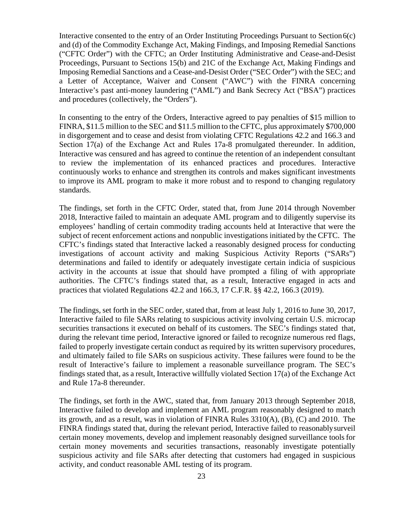Interactive consented to the entry of an Order Instituting Proceedings Pursuant to Section6(c) and (d) of the Commodity Exchange Act, Making Findings, and Imposing Remedial Sanctions ("CFTC Order") with the CFTC; an Order Instituting Administrative and Cease-and-Desist Proceedings, Pursuant to Sections 15(b) and 21C of the Exchange Act, Making Findings and Imposing Remedial Sanctions and a Cease-and-Desist Order ("SEC Order") with the SEC; and a Letter of Acceptance, Waiver and Consent ("AWC") with the FINRA concerning Interactive's past anti-money laundering ("AML") and Bank Secrecy Act ("BSA") practices and procedures (collectively, the "Orders").

In consenting to the entry of the Orders, Interactive agreed to pay penalties of \$15 million to FINRA, \$11.5 million to the SEC and \$11.5 million to the CFTC, plus approximately \$700,000 in disgorgement and to cease and desist from violating CFTC Regulations 42.2 and 166.3 and Section 17(a) of the Exchange Act and Rules 17a-8 promulgated thereunder. In addition, Interactive was censured and has agreed to continue the retention of an independent consultant to review the implementation of its enhanced practices and procedures. Interactive continuously works to enhance and strengthen its controls and makes significant investments to improve its AML program to make it more robust and to respond to changing regulatory standards.

The findings, set forth in the CFTC Order, stated that, from June 2014 through November 2018, Interactive failed to maintain an adequate AML program and to diligently supervise its employees' handling of certain commodity trading accounts held at Interactive that were the subject of recent enforcement actions and nonpublic investigations initiated by the CFTC. The CFTC's findings stated that Interactive lacked a reasonably designed process for conducting investigations of account activity and making Suspicious Activity Reports ("SARs") determinations and failed to identify or adequately investigate certain indicia of suspicious activity in the accounts at issue that should have prompted a filing of with appropriate authorities. The CFTC's findings stated that, as a result, Interactive engaged in acts and practices that violated Regulations 42.2 and 166.3, 17 C.F.R. §§ 42.2, 166.3 (2019).

The findings, set forth in the SEC order, stated that, from at least July 1, 2016 to June 30, 2017, Interactive failed to file SARs relating to suspicious activity involving certain U.S. microcap securities transactions it executed on behalf of its customers. The SEC's findings stated that, during the relevant time period, Interactive ignored or failed to recognize numerous red flags, failed to properly investigate certain conduct as required by its written supervisory procedures, and ultimately failed to file SARs on suspicious activity. These failures were found to be the result of Interactive's failure to implement a reasonable surveillance program. The SEC's findings stated that, as a result, Interactive willfully violated Section 17(a) of the Exchange Act and Rule 17a-8 thereunder.

The findings, set forth in the AWC, stated that, from January 2013 through September 2018, Interactive failed to develop and implement an AML program reasonably designed to match its growth, and as a result, was in violation of FINRA Rules 3310(A), (B), (C) and 2010. The FINRA findings stated that, during the relevant period, Interactive failed to reasonablysurveil certain money movements, develop and implement reasonably designed surveillance toolsfor certain money movements and securities transactions, reasonably investigate potentially suspicious activity and file SARs after detecting that customers had engaged in suspicious activity, and conduct reasonable AML testing of its program.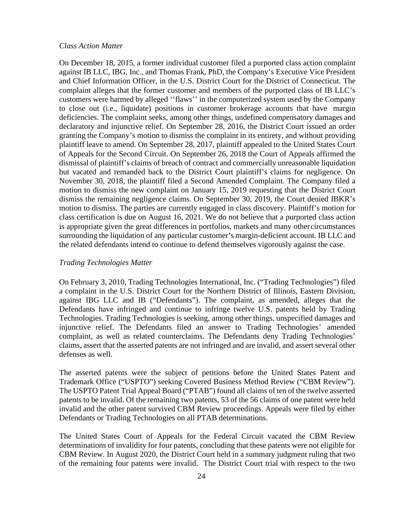#### *Class Action Matter*

On December 18, 2015, a former individual customer filed a purported class action complaint against IB LLC, IBG, Inc., and Thomas Frank, PhD, the Company's Executive Vice President and Chief Information Officer, in the U.S. District Court for the District of Connecticut. The complaint alleges that the former customer and members of the purported class of IB LLC's customers were harmed by alleged ''flaws'' in the computerized system used by the Company to close out (i.e., liquidate) positions in customer brokerage accounts that have margin deficiencies. The complaint seeks, among other things, undefined compensatory damages and declaratory and injunctive relief. On September 28, 2016, the District Court issued an order granting the Company's motion to dismiss the complaint in its entirety, and without providing plaintiff leave to amend. On September 28, 2017, plaintiff appealed to the United States Court of Appeals for the Second Circuit. On September 26, 2018 the Court of Appeals affirmed the dismissal of plaintiff's claims of breach of contract and commercially unreasonable liquidation but vacated and remanded back to the District Court plaintiff's claims for negligence. On November 30, 2018, the plaintiff filed a Second Amended Complaint. The Company filed a motion to dismiss the new complaint on January 15, 2019 requesting that the District Court dismiss the remaining negligence claims. On September 30, 2019, the Court denied IBKR's motion to dismiss. The parties are currently engaged in class discovery. Plaintiff's motion for class certification is due on August 16, 2021. We do not believe that a purported class action is appropriate given the great differences in portfolios, markets and many othercircumstances surrounding the liquidation of any particular customer's margin-deficient account. IB LLC and the related defendants intend to continue to defend themselves vigorously against the case.

#### *Trading Technologies Matter*

On February 3, 2010, Trading Technologies International, Inc. ("Trading Technologies") filed a complaint in the U.S. District Court for the Northern District of Illinois, Eastern Division, against IBG LLC and IB ("Defendants"). The complaint, as amended, alleges that the Defendants have infringed and continue to infringe twelve U.S. patents held by Trading Technologies. Trading Technologies is seeking, among other things, unspecified damages and injunctive relief. The Defendants filed an answer to Trading Technologies' amended complaint, as well as related counterclaims. The Defendants deny Trading Technologies' claims, assert that the asserted patents are not infringed and are invalid, and assert several other defenses as well.

The asserted patents were the subject of petitions before the United States Patent and Trademark Office ("USPTO") seeking Covered Business Method Review ("CBM Review"). The USPTO Patent Trial Appeal Board ("PTAB") found all claims of ten of the twelve asserted patents to be invalid. Of the remaining two patents, 53 of the 56 claims of one patent were held invalid and the other patent survived CBM Review proceedings. Appeals were filed by either Defendants or Trading Technologies on all PTAB determinations.

The United States Court of Appeals for the Federal Circuit vacated the CBM Review determinations of invalidity for four patents, concluding that these patents were not eligible for CBM Review. In August 2020, the District Court held in a summary judgment ruling that two of the remaining four patents were invalid. The District Court trial with respect to the two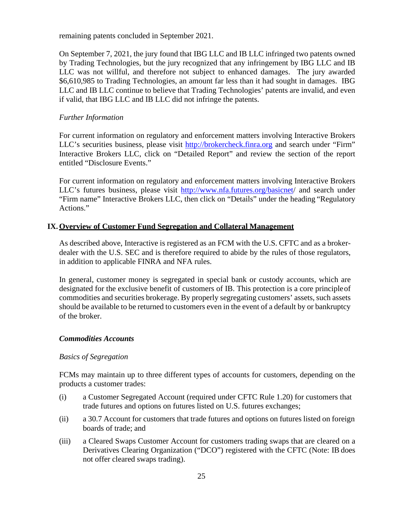remaining patents concluded in September 2021.

On September 7, 2021, the jury found that IBG LLC and IB LLC infringed two patents owned by Trading Technologies, but the jury recognized that any infringement by IBG LLC and IB LLC was not willful, and therefore not subject to enhanced damages. The jury awarded \$6,610,985 to Trading Technologies, an amount far less than it had sought in damages. IBG LLC and IB LLC continue to believe that Trading Technologies' patents are invalid, and even if valid, that IBG LLC and IB LLC did not infringe the patents.

## *Further Information*

For current information on regulatory and enforcement matters involving Interactive Brokers LLC's securities business, please visit [http://brokercheck.finra.org](http://#) and search under "Firm" Interactive Brokers LLC, click on "Detailed Report" and review the section of the report entitled "Disclosure Events."

For current information on regulatory and enforcement matters involving Interactive Brokers LLC's futures business, please visit [http://www.nfa.futures.org/basicnet/](http://#) and search under "Firm name" Interactive Brokers LLC, then click on "Details" under the heading "Regulatory Actions."

## **IX.Overview of Customer Fund Segregation and Collateral Management**

As described above, Interactive is registered as an FCM with the U.S. CFTC and as a brokerdealer with the U.S. SEC and is therefore required to abide by the rules of those regulators, in addition to applicable FINRA and NFA rules.

In general, customer money is segregated in special bank or custody accounts, which are designated for the exclusive benefit of customers of IB. This protection is a core principleof commodities and securities brokerage. By properly segregating customers' assets, such assets should be available to be returned to customers even in the event of a default by or bankruptcy of the broker.

#### <span id="page-23-0"></span>*Commodities Accounts*

#### *Basics of Segregation*

FCMs may maintain up to three different types of accounts for customers, depending on the products a customer trades:

- (i) a Customer Segregated Account (required under CFTC Rule 1.20) for customers that trade futures and options on futures listed on U.S. futures exchanges;
- (ii) a 30.7 Account for customers that trade futures and options on futures listed on foreign boards of trade; and
- (iii) a Cleared Swaps Customer Account for customers trading swaps that are cleared on a Derivatives Clearing Organization ("DCO") registered with the CFTC (Note: IB does not offer cleared swaps trading).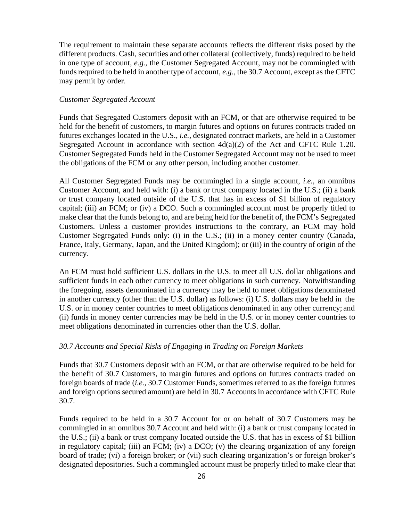The requirement to maintain these separate accounts reflects the different risks posed by the different products. Cash, securities and other collateral (collectively, funds) required to be held in one type of account, *e.g.,* the Customer Segregated Account, may not be commingled with funds required to be held in another type of account, *e.g.*, the 30.7 Account, except as the CFTC may permit by order.

#### *Customer Segregated Account*

Funds that Segregated Customers deposit with an FCM, or that are otherwise required to be held for the benefit of customers, to margin futures and options on futures contracts traded on futures exchanges located in the U.S., *i.e.,* designated contract markets, are held in a Customer Segregated Account in accordance with section  $4d(a)(2)$  of the Act and CFTC Rule 1.20. Customer Segregated Funds held in the Customer Segregated Account may not be used to meet the obligations of the FCM or any other person, including another customer.

All Customer Segregated Funds may be commingled in a single account, *i.e.,* an omnibus Customer Account, and held with: (i) a bank or trust company located in the U.S.; (ii) a bank or trust company located outside of the U.S. that has in excess of \$1 billion of regulatory capital; (iii) an FCM; or (iv) a DCO. Such a commingled account must be properly titled to make clear that the funds belong to, and are being held for the benefit of, the FCM's Segregated Customers. Unless a customer provides instructions to the contrary, an FCM may hold Customer Segregated Funds only: (i) in the U.S.; (ii) in a money center country (Canada, France, Italy, Germany, Japan, and the United Kingdom); or (iii) in the country of origin of the currency.

An FCM must hold sufficient U.S. dollars in the U.S. to meet all U.S. dollar obligations and sufficient funds in each other currency to meet obligations in such currency. Notwithstanding the foregoing, assets denominated in a currency may be held to meet obligations denominated in another currency (other than the U.S. dollar) as follows: (i) U.S. dollars may be held in the U.S. or in money center countries to meet obligations denominated in any other currency; and (ii) funds in money center currencies may be held in the U.S. or in money center countries to meet obligations denominated in currencies other than the U.S. dollar.

#### *30.7 Accounts and Special Risks of Engaging in Trading on Foreign Markets*

Funds that 30.7 Customers deposit with an FCM, or that are otherwise required to be held for the benefit of 30.7 Customers, to margin futures and options on futures contracts traded on foreign boards of trade (*i.e.,* 30.7 Customer Funds, sometimes referred to as the foreign futures and foreign options secured amount) are held in 30.7 Accounts in accordance with CFTC Rule 30.7.

Funds required to be held in a 30.7 Account for or on behalf of 30.7 Customers may be commingled in an omnibus 30.7 Account and held with: (i) a bank or trust company located in the U.S.; (ii) a bank or trust company located outside the U.S. that has in excess of \$1 billion in regulatory capital; (iii) an FCM; (iv) a DCO; (v) the clearing organization of any foreign board of trade; (vi) a foreign broker; or (vii) such clearing organization's or foreign broker's designated depositories. Such a commingled account must be properly titled to make clear that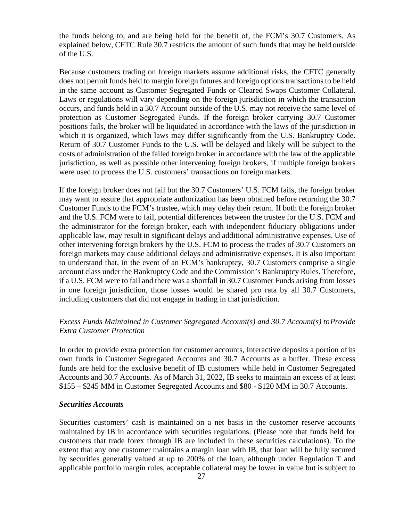the funds belong to, and are being held for the benefit of, the FCM's 30.7 Customers. As explained below, CFTC Rule 30.7 restricts the amount of such funds that may be held outside of the U.S.

Because customers trading on foreign markets assume additional risks, the CFTC generally does not permit funds held to margin foreign futures and foreign options transactions to be held in the same account as Customer Segregated Funds or Cleared Swaps Customer Collateral. Laws or regulations will vary depending on the foreign jurisdiction in which the transaction occurs, and funds held in a 30.7 Account outside of the U.S. may not receive the same level of protection as Customer Segregated Funds. If the foreign broker carrying 30.7 Customer positions fails, the broker will be liquidated in accordance with the laws of the jurisdiction in which it is organized, which laws may differ significantly from the U.S. Bankruptcy Code. Return of 30.7 Customer Funds to the U.S. will be delayed and likely will be subject to the costs of administration of the failed foreign broker in accordance with the law of the applicable jurisdiction, as well as possible other intervening foreign brokers, if multiple foreign brokers were used to process the U.S. customers' transactions on foreign markets.

If the foreign broker does not fail but the 30.7 Customers' U.S. FCM fails, the foreign broker may want to assure that appropriate authorization has been obtained before returning the 30.7 Customer Funds to the FCM's trustee, which may delay their return. If both the foreign broker and the U.S. FCM were to fail, potential differences between the trustee for the U.S. FCM and the administrator for the foreign broker, each with independent fiduciary obligations under applicable law, may result in significant delays and additional administrative expenses. Use of other intervening foreign brokers by the U.S. FCM to process the trades of 30.7 Customers on foreign markets may cause additional delays and administrative expenses. It is also important to understand that, in the event of an FCM's bankruptcy, 30.7 Customers comprise a single account class under the Bankruptcy Code and the Commission's Bankruptcy Rules. Therefore, if a U.S. FCM were to fail and there was a shortfall in 30.7 Customer Funds arising from losses in one foreign jurisdiction, those losses would be shared pro rata by all 30.7 Customers, including customers that did not engage in trading in that jurisdiction.

## *Excess Funds Maintained in Customer Segregated Account(s) and 30.7 Account(s) toProvide Extra Customer Protection*

In order to provide extra protection for customer accounts, Interactive deposits a portion ofits own funds in Customer Segregated Accounts and 30.7 Accounts as a buffer. These excess funds are held for the exclusive benefit of IB customers while held in Customer Segregated Accounts and 30.7 Accounts. As of March 31, 2022, IB seeks to maintain an excess of at least \$155 – \$245 MM in Customer Segregated Accounts and \$80 - \$120 MM in 30.7 Accounts.

#### <span id="page-25-0"></span>*Securities Accounts*

Securities customers' cash is maintained on a net basis in the customer reserve accounts maintained by IB in accordance with securities regulations. (Please note that funds held for customers that trade forex through IB are included in these securities calculations). To the extent that any one customer maintains a margin loan with IB, that loan will be fully secured by securities generally valued at up to 200% of the loan, although under Regulation T and applicable portfolio margin rules, acceptable collateral may be lower in value but is subject to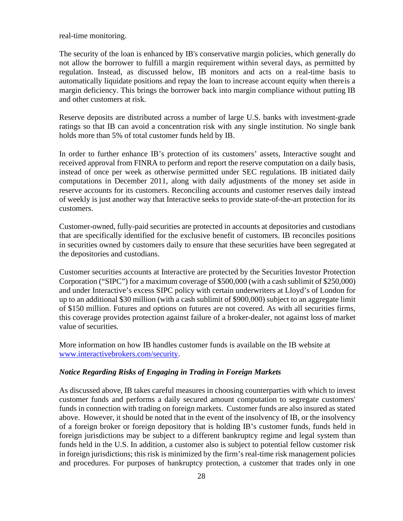real-time monitoring.

The security of the loan is enhanced by IB's conservative margin policies, which generally do not allow the borrower to fulfill a margin requirement within several days, as permitted by regulation. Instead, as discussed below, IB monitors and acts on a real-time basis to automatically liquidate positions and repay the loan to increase account equity when thereis a margin deficiency. This brings the borrower back into margin compliance without putting IB and other customers at risk.

Reserve deposits are distributed across a number of large U.S. banks with investment-grade ratings so that IB can avoid a concentration risk with any single institution. No single bank holds more than 5% of total customer funds held by IB.

In order to further enhance IB's protection of its customers' assets, Interactive sought and received approval from FINRA to perform and report the reserve computation on a daily basis, instead of once per week as otherwise permitted under SEC regulations. IB initiated daily computations in December 2011, along with daily adjustments of the money set aside in reserve accounts for its customers. Reconciling accounts and customer reserves daily instead of weekly is just another way that Interactive seeks to provide state-of-the-art protection for its customers.

Customer-owned, fully-paid securities are protected in accounts at depositories and custodians that are specifically identified for the exclusive benefit of customers. IB reconciles positions in securities owned by customers daily to ensure that these securities have been segregated at the depositories and custodians.

Customer securities accounts at Interactive are protected by the Securities Investor Protection Corporation ("SIPC") for a maximum coverage of \$500,000 (with a cash sublimit of \$250,000) and under Interactive's excess SIPC policy with certain underwriters at Lloyd's of London for up to an additional \$30 million (with a cash sublimit of \$900,000) subject to an aggregate limit of \$150 million. Futures and options on futures are not covered. As with all securities firms, this coverage provides protection against failure of a broker-dealer, not against loss of market value of securities.

More information on how IB handles customer funds is available on the IB website at [www.interactivebrokers.com/security.](http://#)

#### <span id="page-26-0"></span>*Notice Regarding Risks of Engaging in Trading in Foreign Markets*

As discussed above, IB takes careful measures in choosing counterparties with which to invest customer funds and performs a daily secured amount computation to segregate customers' funds in connection with trading on foreign markets. Customer funds are also insured as stated above. However, it should be noted that in the event of the insolvency of IB, or the insolvency of a foreign broker or foreign depository that is holding IB's customer funds, funds held in foreign jurisdictions may be subject to a different bankruptcy regime and legal system than funds held in the U.S. In addition, a customer also is subject to potential fellow customer risk in foreign jurisdictions; this risk is minimized by the firm's real-time risk management policies and procedures. For purposes of bankruptcy protection, a customer that trades only in one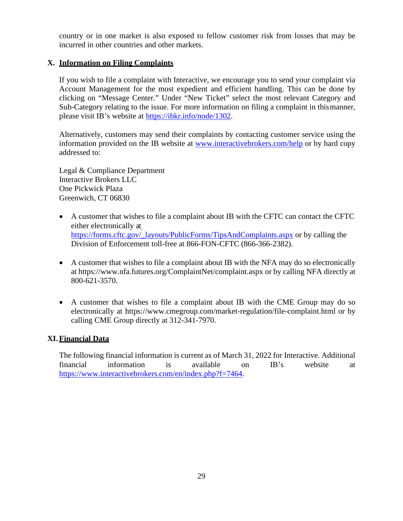country or in one market is also exposed to fellow customer risk from losses that may be incurred in other countries and other markets.

# <span id="page-27-0"></span>**X. Information on Filing Complaints**

If you wish to file a complaint with Interactive, we encourage you to send your complaint via Account Management for the most expedient and efficient handling. This can be done by clicking on "Message Center." Under "New Ticket" select the most relevant Category and Sub-Category relating to the issue. For more information on filing a complaint in thismanner, please visit IB's website at [https://ibkr.info/node/1302.](http://#)

Alternatively, customers may send their complaints by contacting customer service using the information provided on the IB website at [www.interactivebrokers.com/help](http://#) or by hard copy addressed to:

Legal & Compliance Department Interactive Brokers LLC One Pickwick Plaza Greenwich, CT 06830

- A customer that wishes to file a complaint about IB with the CFTC can contact the CFTC either electronically at [https://forms.cftc.gov/\\_layouts/PublicForms/TipsAndComplaints.aspx](http://#) or by calling the Division of Enforcement toll-free at 866-FON-CFTC (866-366-2382).
- A customer that wishes to file a complaint about IB with the NFA may do so electronically at ht[tps://www.nfa.futures.org/ComplaintNet/complaint.aspx](http://#) or by calling NFA directly at 800-621-3570.
- A customer that wishes to file a complaint about IB with the CME Group may do so electronically at ht[tps://www.cmegroup.com/market-regulation/file-complaint.html o](http://#)r by calling CME Group directly at 312-341-7970.

## <span id="page-27-1"></span>**XI. Financial Data**

The following financial information is current as of March 31, 2022 for Interactive. Additional financial information is available on IB's website at [https://www.interactivebrokers.com/en/index.php?f=7464.](http://#)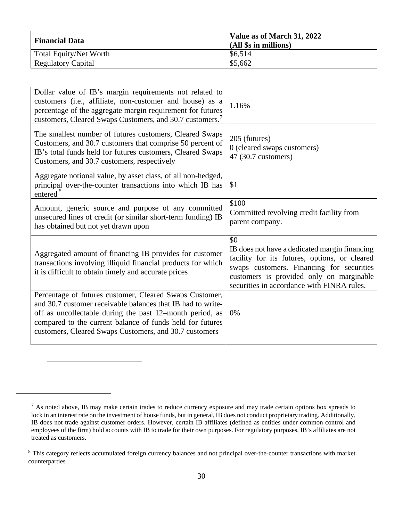| <b>Financial Data</b>         | Value as of March 31, 2022<br>(All \$s in millions) |
|-------------------------------|-----------------------------------------------------|
| <b>Total Equity/Net Worth</b> | \$6,514                                             |
| <b>Regulatory Capital</b>     | \$5,662                                             |

| Dollar value of IB's margin requirements not related to<br>customers (i.e., affiliate, non-customer and house) as a<br>percentage of the aggregate margin requirement for futures<br>customers, Cleared Swaps Customers, and 30.7 customers. <sup>7</sup>                                                 | 1.16%                                                                                                                                                                                                                                        |
|-----------------------------------------------------------------------------------------------------------------------------------------------------------------------------------------------------------------------------------------------------------------------------------------------------------|----------------------------------------------------------------------------------------------------------------------------------------------------------------------------------------------------------------------------------------------|
| The smallest number of futures customers, Cleared Swaps<br>Customers, and 30.7 customers that comprise 50 percent of<br>IB's total funds held for futures customers, Cleared Swaps<br>Customers, and 30.7 customers, respectively                                                                         | 205 (futures)<br>0 (cleared swaps customers)<br>47 (30.7 customers)                                                                                                                                                                          |
| Aggregate notional value, by asset class, of all non-hedged,<br>principal over-the-counter transactions into which IB has<br>entered <sup>8</sup>                                                                                                                                                         | \$1                                                                                                                                                                                                                                          |
| Amount, generic source and purpose of any committed<br>unsecured lines of credit (or similar short-term funding) IB<br>has obtained but not yet drawn upon                                                                                                                                                | \$100<br>Committed revolving credit facility from<br>parent company.                                                                                                                                                                         |
| Aggregated amount of financing IB provides for customer<br>transactions involving illiquid financial products for which<br>it is difficult to obtain timely and accurate prices                                                                                                                           | \$0<br>IB does not have a dedicated margin financing<br>facility for its futures, options, or cleared<br>swaps customers. Financing for securities<br>customers is provided only on marginable<br>securities in accordance with FINRA rules. |
| Percentage of futures customer, Cleared Swaps Customer,<br>and 30.7 customer receivable balances that IB had to write-<br>off as uncollectable during the past 12–month period, as<br>compared to the current balance of funds held for futures<br>customers, Cleared Swaps Customers, and 30.7 customers | 0%                                                                                                                                                                                                                                           |

<span id="page-28-0"></span> $<sup>7</sup>$  As noted above, IB may make certain trades to reduce currency exposure and may trade certain options box spreads to</sup> lock in an interest rate on the investment of house funds, but in general, IB does not conduct proprietary trading. Additionally, IB does not trade against customer orders. However, certain IB affiliates (defined as entities under common control and employees of the firm) hold accounts with IB to trade for their own purposes. For regulatory purposes, IB's affiliates are not treated as customers.

<span id="page-28-1"></span><sup>&</sup>lt;sup>8</sup> This category reflects accumulated foreign currency balances and not principal over-the-counter transactions with market counterparties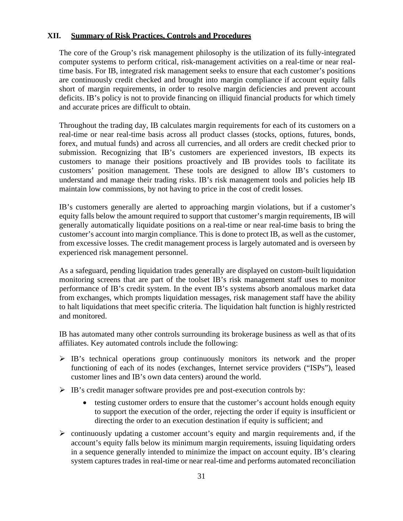## <span id="page-29-0"></span>**XII. Summary of Risk Practices, Controls and Procedures**

The core of the Group's risk management philosophy is the utilization of its fully-integrated computer systems to perform critical, risk-management activities on a real-time or near realtime basis. For IB, integrated risk management seeks to ensure that each customer's positions are continuously credit checked and brought into margin compliance if account equity falls short of margin requirements, in order to resolve margin deficiencies and prevent account deficits. IB's policy is not to provide financing on illiquid financial products for which timely and accurate prices are difficult to obtain.

Throughout the trading day, IB calculates margin requirements for each of its customers on a real-time or near real-time basis across all product classes (stocks, options, futures, bonds, forex, and mutual funds) and across all currencies, and all orders are credit checked prior to submission. Recognizing that IB's customers are experienced investors, IB expects its customers to manage their positions proactively and IB provides tools to facilitate its customers' position management. These tools are designed to allow IB's customers to understand and manage their trading risks. IB's risk management tools and policies help IB maintain low commissions, by not having to price in the cost of credit losses.

IB's customers generally are alerted to approaching margin violations, but if a customer's equity falls below the amount required to support that customer's margin requirements, IB will generally automatically liquidate positions on a real-time or near real-time basis to bring the customer's account into margin compliance. This is done to protect IB, as well as the customer, from excessive losses. The credit management process is largely automated and is overseen by experienced risk management personnel.

As a safeguard, pending liquidation trades generally are displayed on custom-built liquidation monitoring screens that are part of the toolset IB's risk management staff uses to monitor performance of IB's credit system. In the event IB's systems absorb anomalous market data from exchanges, which prompts liquidation messages, risk management staff have the ability to halt liquidations that meet specific criteria. The liquidation halt function is highly restricted and monitored.

IB has automated many other controls surrounding its brokerage business as well as that ofits affiliates. Key automated controls include the following:

- $\triangleright$  IB's technical operations group continuously monitors its network and the proper functioning of each of its nodes (exchanges, Internet service providers ("ISPs"), leased customer lines and IB's own data centers) around the world.
- $\triangleright$  IB's credit manager software provides pre and post-execution controls by:
	- testing customer orders to ensure that the customer's account holds enough equity to support the execution of the order, rejecting the order if equity is insufficient or directing the order to an execution destination if equity is sufficient; and
- $\triangleright$  continuously updating a customer account's equity and margin requirements and, if the account's equity falls below its minimum margin requirements, issuing liquidating orders in a sequence generally intended to minimize the impact on account equity. IB's clearing system captures trades in real-time or near real-time and performs automated reconciliation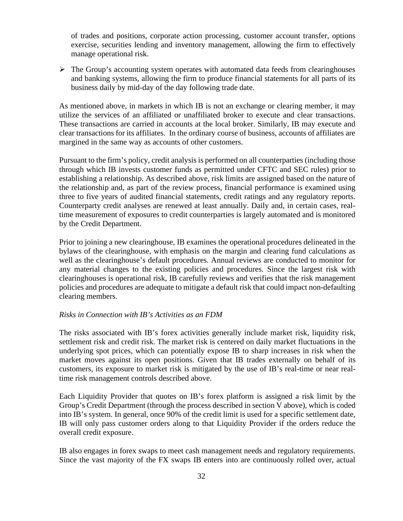of trades and positions, corporate action processing, customer account transfer, options exercise, securities lending and inventory management, allowing the firm to effectively manage operational risk.

 $\triangleright$  The Group's accounting system operates with automated data feeds from clearinghouses and banking systems, allowing the firm to produce financial statements for all parts of its business daily by mid-day of the day following trade date.

As mentioned above, in markets in which IB is not an exchange or clearing member, it may utilize the services of an affiliated or unaffiliated broker to execute and clear transactions. These transactions are carried in accounts at the local broker. Similarly, IB may execute and clear transactions for its affiliates. In the ordinary course of business, accounts of affiliates are margined in the same way as accounts of other customers.

Pursuant to the firm's policy, credit analysis is performed on all counterparties (including those through which IB invests customer funds as permitted under CFTC and SEC rules) prior to establishing a relationship. As described above, risk limits are assigned based on the nature of the relationship and, as part of the review process, financial performance is examined using three to five years of audited financial statements, credit ratings and any regulatory reports. Counterparty credit analyses are renewed at least annually. Daily and, in certain cases, realtime measurement of exposures to credit counterparties is largely automated and is monitored by the Credit Department.

Prior to joining a new clearinghouse, IB examines the operational procedures delineated in the bylaws of the clearinghouse, with emphasis on the margin and clearing fund calculations as well as the clearinghouse's default procedures. Annual reviews are conducted to monitor for any material changes to the existing policies and procedures. Since the largest risk with clearinghouses is operational risk, IB carefully reviews and verifies that the risk management policies and procedures are adequate to mitigate a default risk that could impact non-defaulting clearing members.

## *Risks in Connection with IB's Activities as an FDM*

The risks associated with IB's forex activities generally include market risk, liquidity risk, settlement risk and credit risk. The market risk is centered on daily market fluctuations in the underlying spot prices, which can potentially expose IB to sharp increases in risk when the market moves against its open positions. Given that IB trades externally on behalf of its customers, its exposure to market risk is mitigated by the use of IB's real-time or near realtime risk management controls described above.

Each Liquidity Provider that quotes on IB's forex platform is assigned a risk limit by the Group's Credit Department (through the process described in section V above), which is coded into IB's system. In general, once 90% of the credit limit is used for a specific settlement date, IB will only pass customer orders along to that Liquidity Provider if the orders reduce the overall credit exposure.

IB also engages in forex swaps to meet cash management needs and regulatory requirements. Since the vast majority of the FX swaps IB enters into are continuously rolled over, actual